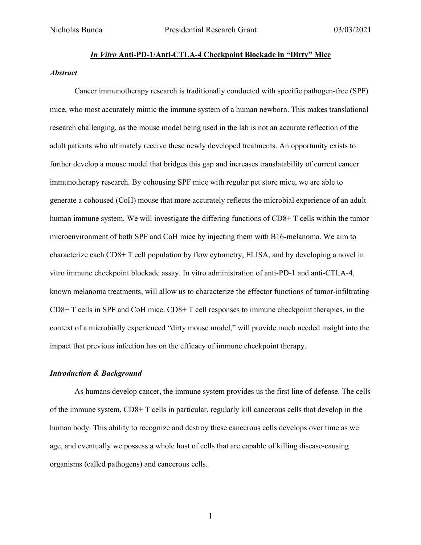*Abstract*

## *In Vitro* **Anti-PD-1/Anti-CTLA-4 Checkpoint Blockade in "Dirty" Mice**

Cancer immunotherapy research is traditionally conducted with specific pathogen-free (SPF)

# mice, who most accurately mimic the immune system of a human newborn. This makes translational research challenging, as the mouse model being used in the lab is not an accurate reflection of the adult patients who ultimately receive these newly developed treatments. An opportunity exists to further develop a mouse model that bridges this gap and increases translatability of current cancer

immunotherapy research. By cohousing SPF mice with regular pet store mice, we are able to generate a cohoused (CoH) mouse that more accurately reflects the microbial experience of an adult human immune system. We will investigate the differing functions of CD8+ T cells within the tumor microenvironment of both SPF and CoH mice by injecting them with B16-melanoma. We aim to characterize each CD8+ T cell population by flow cytometry, ELISA, and by developing a novel in vitro immune checkpoint blockade assay. In vitro administration of anti-PD-1 and anti-CTLA-4, known melanoma treatments, will allow us to characterize the effector functions of tumor-infiltrating CD8+ T cells in SPF and CoH mice. CD8+ T cell responses to immune checkpoint therapies, in the context of a microbially experienced "dirty mouse model," will provide much needed insight into the impact that previous infection has on the efficacy of immune checkpoint therapy.

#### *Introduction & Background*

As humans develop cancer, the immune system provides us the first line of defense. The cells of the immune system, CD8+ T cells in particular, regularly kill cancerous cells that develop in the human body. This ability to recognize and destroy these cancerous cells develops over time as we age, and eventually we possess a whole host of cells that are capable of killing disease-causing organisms (called pathogens) and cancerous cells.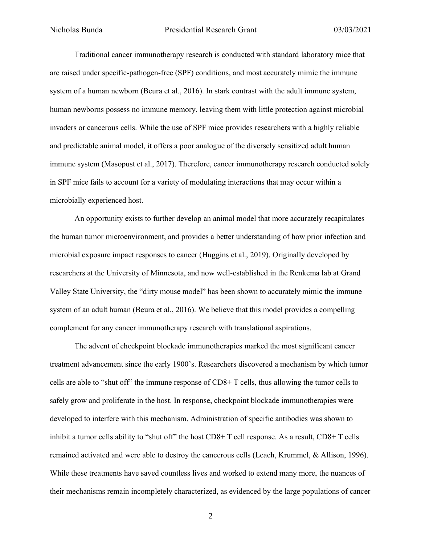Traditional cancer immunotherapy research is conducted with standard laboratory mice that are raised under specific-pathogen-free (SPF) conditions, and most accurately mimic the immune system of a human newborn (Beura et al., 2016). In stark contrast with the adult immune system, human newborns possess no immune memory, leaving them with little protection against microbial invaders or cancerous cells. While the use of SPF mice provides researchers with a highly reliable and predictable animal model, it offers a poor analogue of the diversely sensitized adult human immune system (Masopust et al., 2017). Therefore, cancer immunotherapy research conducted solely in SPF mice fails to account for a variety of modulating interactions that may occur within a microbially experienced host.

An opportunity exists to further develop an animal model that more accurately recapitulates the human tumor microenvironment, and provides a better understanding of how prior infection and microbial exposure impact responses to cancer (Huggins et al., 2019). Originally developed by researchers at the University of Minnesota, and now well-established in the Renkema lab at Grand Valley State University, the "dirty mouse model" has been shown to accurately mimic the immune system of an adult human (Beura et al., 2016). We believe that this model provides a compelling complement for any cancer immunotherapy research with translational aspirations.

The advent of checkpoint blockade immunotherapies marked the most significant cancer treatment advancement since the early 1900's. Researchers discovered a mechanism by which tumor cells are able to "shut off" the immune response of CD8+ T cells, thus allowing the tumor cells to safely grow and proliferate in the host. In response, checkpoint blockade immunotherapies were developed to interfere with this mechanism. Administration of specific antibodies was shown to inhibit a tumor cells ability to "shut off" the host CD8+ T cell response. As a result, CD8+ T cells remained activated and were able to destroy the cancerous cells (Leach, Krummel, & Allison, 1996). While these treatments have saved countless lives and worked to extend many more, the nuances of their mechanisms remain incompletely characterized, as evidenced by the large populations of cancer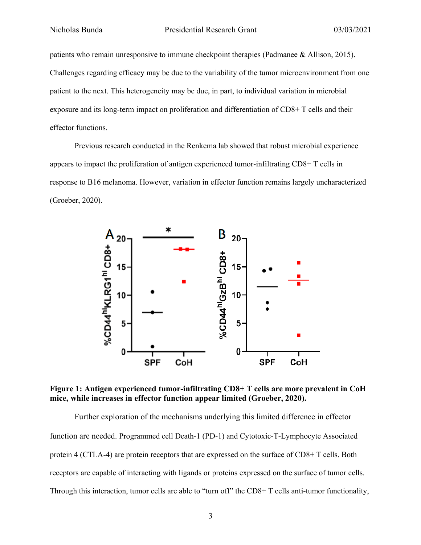patients who remain unresponsive to immune checkpoint therapies (Padmanee & Allison, 2015). Challenges regarding efficacy may be due to the variability of the tumor microenvironment from one patient to the next. This heterogeneity may be due, in part, to individual variation in microbial exposure and its long-term impact on proliferation and differentiation of CD8+ T cells and their effector functions.

Previous research conducted in the Renkema lab showed that robust microbial experience appears to impact the proliferation of antigen experienced tumor-infiltrating CD8+ T cells in response to B16 melanoma. However, variation in effector function remains largely uncharacterized (Groeber, 2020).



**Figure 1: Antigen experienced tumor-infiltrating CD8+ T cells are more prevalent in CoH mice, while increases in effector function appear limited (Groeber, 2020).**

Further exploration of the mechanisms underlying this limited difference in effector function are needed. Programmed cell Death-1 (PD-1) and Cytotoxic-T-Lymphocyte Associated protein 4 (CTLA-4) are protein receptors that are expressed on the surface of CD8+ T cells. Both receptors are capable of interacting with ligands or proteins expressed on the surface of tumor cells. Through this interaction, tumor cells are able to "turn off" the CD8+ T cells anti-tumor functionality,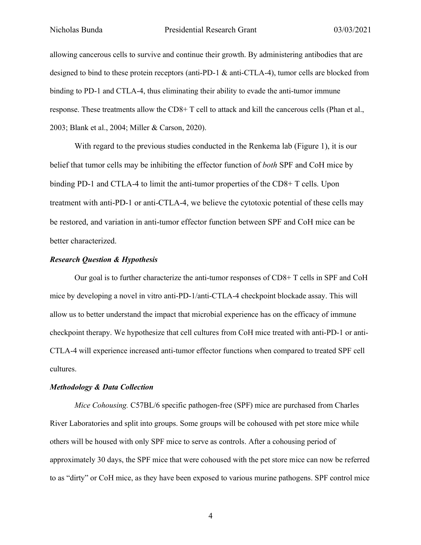allowing cancerous cells to survive and continue their growth. By administering antibodies that are designed to bind to these protein receptors (anti-PD-1 & anti-CTLA-4), tumor cells are blocked from binding to PD-1 and CTLA-4, thus eliminating their ability to evade the anti-tumor immune response. These treatments allow the CD8+ T cell to attack and kill the cancerous cells (Phan et al., 2003; Blank et al., 2004; Miller & Carson, 2020).

With regard to the previous studies conducted in the Renkema lab (Figure 1), it is our belief that tumor cells may be inhibiting the effector function of *both* SPF and CoH mice by binding PD-1 and CTLA-4 to limit the anti-tumor properties of the CD8+ T cells. Upon treatment with anti-PD-1 or anti-CTLA-4, we believe the cytotoxic potential of these cells may be restored, and variation in anti-tumor effector function between SPF and CoH mice can be better characterized.

#### *Research Question & Hypothesis*

Our goal is to further characterize the anti-tumor responses of CD8+ T cells in SPF and CoH mice by developing a novel in vitro anti-PD-1/anti-CTLA-4 checkpoint blockade assay. This will allow us to better understand the impact that microbial experience has on the efficacy of immune checkpoint therapy. We hypothesize that cell cultures from CoH mice treated with anti-PD-1 or anti-CTLA-4 will experience increased anti-tumor effector functions when compared to treated SPF cell cultures.

#### *Methodology & Data Collection*

*Mice Cohousing.* C57BL/6 specific pathogen-free (SPF) mice are purchased from Charles River Laboratories and split into groups. Some groups will be cohoused with pet store mice while others will be housed with only SPF mice to serve as controls. After a cohousing period of approximately 30 days, the SPF mice that were cohoused with the pet store mice can now be referred to as "dirty" or CoH mice, as they have been exposed to various murine pathogens. SPF control mice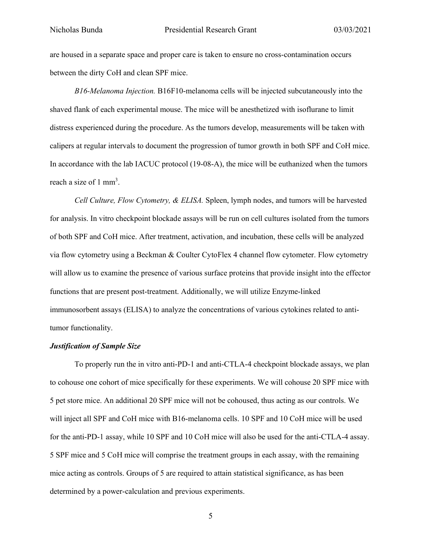are housed in a separate space and proper care is taken to ensure no cross-contamination occurs between the dirty CoH and clean SPF mice.

*B16-Melanoma Injection.* B16F10-melanoma cells will be injected subcutaneously into the shaved flank of each experimental mouse. The mice will be anesthetized with isoflurane to limit distress experienced during the procedure. As the tumors develop, measurements will be taken with calipers at regular intervals to document the progression of tumor growth in both SPF and CoH mice. In accordance with the lab IACUC protocol (19-08-A), the mice will be euthanized when the tumors reach a size of 1 mm<sup>3</sup>.

*Cell Culture, Flow Cytometry, & ELISA.* Spleen, lymph nodes, and tumors will be harvested for analysis. In vitro checkpoint blockade assays will be run on cell cultures isolated from the tumors of both SPF and CoH mice. After treatment, activation, and incubation, these cells will be analyzed via flow cytometry using a Beckman & Coulter CytoFlex 4 channel flow cytometer. Flow cytometry will allow us to examine the presence of various surface proteins that provide insight into the effector functions that are present post-treatment. Additionally, we will utilize Enzyme-linked immunosorbent assays (ELISA) to analyze the concentrations of various cytokines related to antitumor functionality.

#### *Justification of Sample Size*

To properly run the in vitro anti-PD-1 and anti-CTLA-4 checkpoint blockade assays, we plan to cohouse one cohort of mice specifically for these experiments. We will cohouse 20 SPF mice with 5 pet store mice. An additional 20 SPF mice will not be cohoused, thus acting as our controls. We will inject all SPF and CoH mice with B16-melanoma cells. 10 SPF and 10 CoH mice will be used for the anti-PD-1 assay, while 10 SPF and 10 CoH mice will also be used for the anti-CTLA-4 assay. 5 SPF mice and 5 CoH mice will comprise the treatment groups in each assay, with the remaining mice acting as controls. Groups of 5 are required to attain statistical significance, as has been determined by a power-calculation and previous experiments.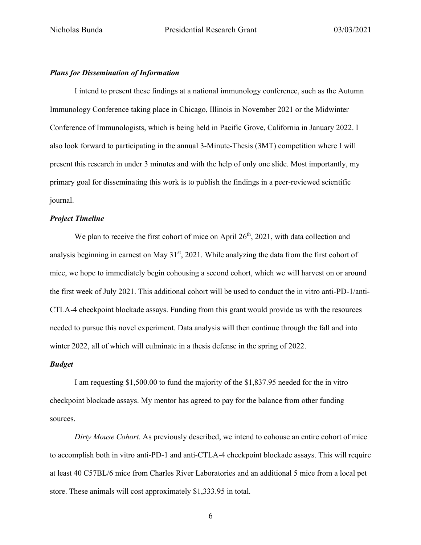#### *Plans for Dissemination of Information*

I intend to present these findings at a national immunology conference, such as the Autumn Immunology Conference taking place in Chicago, Illinois in November 2021 or the Midwinter Conference of Immunologists, which is being held in Pacific Grove, California in January 2022. I also look forward to participating in the annual 3-Minute-Thesis (3MT) competition where I will present this research in under 3 minutes and with the help of only one slide. Most importantly, my primary goal for disseminating this work is to publish the findings in a peer-reviewed scientific journal.

#### *Project Timeline*

We plan to receive the first cohort of mice on April  $26<sup>th</sup>$ ,  $2021$ , with data collection and analysis beginning in earnest on May 31<sup>st</sup>, 2021. While analyzing the data from the first cohort of mice, we hope to immediately begin cohousing a second cohort, which we will harvest on or around the first week of July 2021. This additional cohort will be used to conduct the in vitro anti-PD-1/anti-CTLA-4 checkpoint blockade assays. Funding from this grant would provide us with the resources needed to pursue this novel experiment. Data analysis will then continue through the fall and into winter 2022, all of which will culminate in a thesis defense in the spring of 2022.

#### *Budget*

I am requesting \$1,500.00 to fund the majority of the \$1,837.95 needed for the in vitro checkpoint blockade assays. My mentor has agreed to pay for the balance from other funding sources.

*Dirty Mouse Cohort.* As previously described, we intend to cohouse an entire cohort of mice to accomplish both in vitro anti-PD-1 and anti-CTLA-4 checkpoint blockade assays. This will require at least 40 C57BL/6 mice from Charles River Laboratories and an additional 5 mice from a local pet store. These animals will cost approximately \$1,333.95 in total.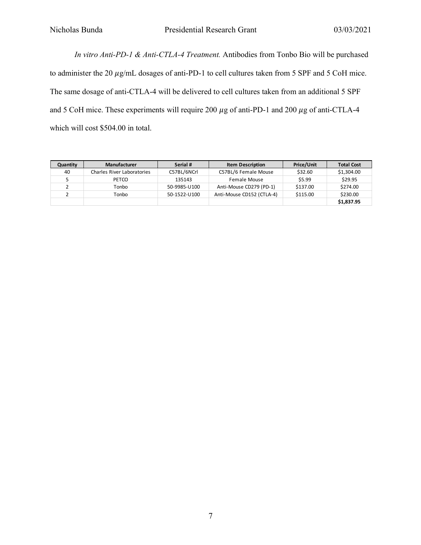*In vitro Anti-PD-1 & Anti-CTLA-4 Treatment.* Antibodies from Tonbo Bio will be purchased to administer the 20  $\mu$ g/mL dosages of anti-PD-1 to cell cultures taken from 5 SPF and 5 CoH mice. The same dosage of anti-CTLA-4 will be delivered to cell cultures taken from an additional 5 SPF and 5 CoH mice. These experiments will require 200  $\mu$ g of anti-PD-1 and 200  $\mu$ g of anti-CTLA-4 which will cost \$504.00 in total.

| Quantity | Manufacturer                      | Serial #     | <b>Item Description</b>   | Price/Unit | <b>Total Cost</b> |
|----------|-----------------------------------|--------------|---------------------------|------------|-------------------|
| 40       | <b>Charles River Laboratories</b> | C57BL/6NCrl  | C57BL/6 Female Mouse      | \$32.60    | \$1,304.00        |
|          | PETCO                             | 135143       | Female Mouse              | \$5.99     | \$29.95           |
|          | Tonbo                             | 50-9985-U100 | Anti-Mouse CD279 (PD-1)   | \$137.00   | \$274.00          |
|          | Tonbo                             | 50-1522-U100 | Anti-Mouse CD152 (CTLA-4) | \$115.00   | \$230.00          |
|          |                                   |              |                           |            | \$1,837.95        |